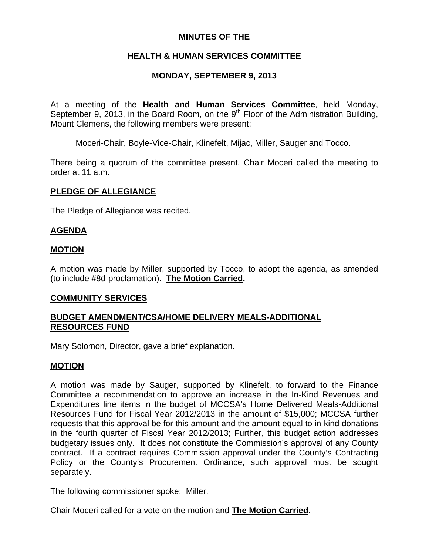## **MINUTES OF THE**

## **HEALTH & HUMAN SERVICES COMMITTEE**

## **MONDAY, SEPTEMBER 9, 2013**

At a meeting of the **Health and Human Services Committee**, held Monday, September 9, 2013, in the Board Room, on the  $9<sup>th</sup>$  Floor of the Administration Building, Mount Clemens, the following members were present:

Moceri-Chair, Boyle-Vice-Chair, Klinefelt, Mijac, Miller, Sauger and Tocco.

There being a quorum of the committee present, Chair Moceri called the meeting to order at 11 a.m.

### **PLEDGE OF ALLEGIANCE**

The Pledge of Allegiance was recited.

## **AGENDA**

### **MOTION**

A motion was made by Miller, supported by Tocco, to adopt the agenda, as amended (to include #8d-proclamation). **The Motion Carried.** 

# **COMMUNITY SERVICES**

## **BUDGET AMENDMENT/CSA/HOME DELIVERY MEALS-ADDITIONAL RESOURCES FUND**

Mary Solomon, Director, gave a brief explanation.

#### **MOTION**

A motion was made by Sauger, supported by Klinefelt, to forward to the Finance Committee a recommendation to approve an increase in the In-Kind Revenues and Expenditures line items in the budget of MCCSA's Home Delivered Meals-Additional Resources Fund for Fiscal Year 2012/2013 in the amount of \$15,000; MCCSA further requests that this approval be for this amount and the amount equal to in-kind donations in the fourth quarter of Fiscal Year 2012/2013; Further, this budget action addresses budgetary issues only. It does not constitute the Commission's approval of any County contract. If a contract requires Commission approval under the County's Contracting Policy or the County's Procurement Ordinance, such approval must be sought separately.

The following commissioner spoke: Miller.

Chair Moceri called for a vote on the motion and **The Motion Carried.**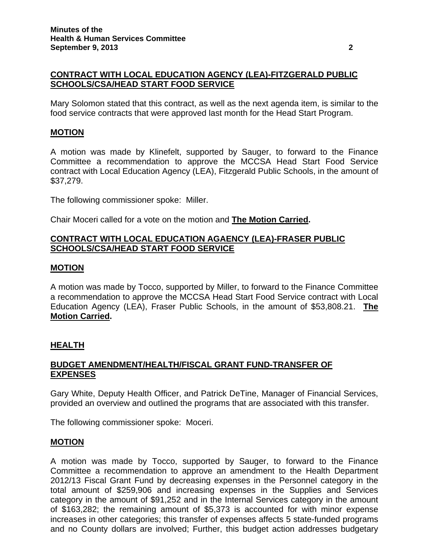# **CONTRACT WITH LOCAL EDUCATION AGENCY (LEA)-FITZGERALD PUBLIC SCHOOLS/CSA/HEAD START FOOD SERVICE**

Mary Solomon stated that this contract, as well as the next agenda item, is similar to the food service contracts that were approved last month for the Head Start Program.

## **MOTION**

A motion was made by Klinefelt, supported by Sauger, to forward to the Finance Committee a recommendation to approve the MCCSA Head Start Food Service contract with Local Education Agency (LEA), Fitzgerald Public Schools, in the amount of \$37,279.

The following commissioner spoke: Miller.

Chair Moceri called for a vote on the motion and **The Motion Carried.**

# **CONTRACT WITH LOCAL EDUCATION AGAENCY (LEA)-FRASER PUBLIC SCHOOLS/CSA/HEAD START FOOD SERVICE**

### **MOTION**

A motion was made by Tocco, supported by Miller, to forward to the Finance Committee a recommendation to approve the MCCSA Head Start Food Service contract with Local Education Agency (LEA), Fraser Public Schools, in the amount of \$53,808.21. **The Motion Carried.** 

## **HEALTH**

## **BUDGET AMENDMENT/HEALTH/FISCAL GRANT FUND-TRANSFER OF EXPENSES**

Gary White, Deputy Health Officer, and Patrick DeTine, Manager of Financial Services, provided an overview and outlined the programs that are associated with this transfer.

The following commissioner spoke: Moceri.

#### **MOTION**

A motion was made by Tocco, supported by Sauger, to forward to the Finance Committee a recommendation to approve an amendment to the Health Department 2012/13 Fiscal Grant Fund by decreasing expenses in the Personnel category in the total amount of \$259,906 and increasing expenses in the Supplies and Services category in the amount of \$91,252 and in the Internal Services category in the amount of \$163,282; the remaining amount of \$5,373 is accounted for with minor expense increases in other categories; this transfer of expenses affects 5 state-funded programs and no County dollars are involved; Further, this budget action addresses budgetary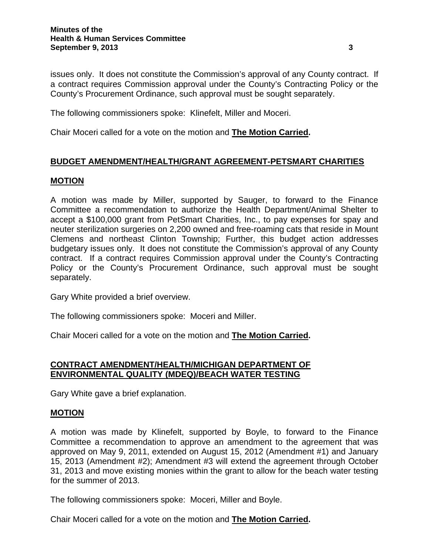issues only. It does not constitute the Commission's approval of any County contract. If a contract requires Commission approval under the County's Contracting Policy or the County's Procurement Ordinance, such approval must be sought separately.

The following commissioners spoke: Klinefelt, Miller and Moceri.

Chair Moceri called for a vote on the motion and **The Motion Carried.**

### **BUDGET AMENDMENT/HEALTH/GRANT AGREEMENT-PETSMART CHARITIES**

#### **MOTION**

A motion was made by Miller, supported by Sauger, to forward to the Finance Committee a recommendation to authorize the Health Department/Animal Shelter to accept a \$100,000 grant from PetSmart Charities, Inc., to pay expenses for spay and neuter sterilization surgeries on 2,200 owned and free-roaming cats that reside in Mount Clemens and northeast Clinton Township; Further, this budget action addresses budgetary issues only. It does not constitute the Commission's approval of any County contract. If a contract requires Commission approval under the County's Contracting Policy or the County's Procurement Ordinance, such approval must be sought separately.

Gary White provided a brief overview.

The following commissioners spoke: Moceri and Miller.

Chair Moceri called for a vote on the motion and **The Motion Carried.**

## **CONTRACT AMENDMENT/HEALTH/MICHIGAN DEPARTMENT OF ENVIRONMENTAL QUALITY (MDEQ)/BEACH WATER TESTING**

Gary White gave a brief explanation.

#### **MOTION**

A motion was made by Klinefelt, supported by Boyle, to forward to the Finance Committee a recommendation to approve an amendment to the agreement that was approved on May 9, 2011, extended on August 15, 2012 (Amendment #1) and January 15, 2013 (Amendment #2); Amendment #3 will extend the agreement through October 31, 2013 and move existing monies within the grant to allow for the beach water testing for the summer of 2013.

The following commissioners spoke: Moceri, Miller and Boyle.

Chair Moceri called for a vote on the motion and **The Motion Carried.**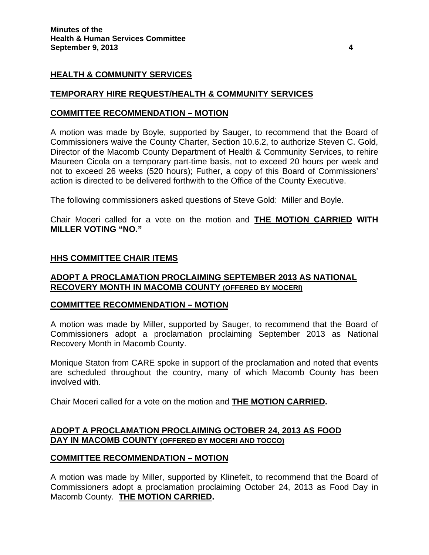# **HEALTH & COMMUNITY SERVICES**

### **TEMPORARY HIRE REQUEST/HEALTH & COMMUNITY SERVICES**

#### **COMMITTEE RECOMMENDATION – MOTION**

A motion was made by Boyle, supported by Sauger, to recommend that the Board of Commissioners waive the County Charter, Section 10.6.2, to authorize Steven C. Gold, Director of the Macomb County Department of Health & Community Services, to rehire Maureen Cicola on a temporary part-time basis, not to exceed 20 hours per week and not to exceed 26 weeks (520 hours); Futher, a copy of this Board of Commissioners' action is directed to be delivered forthwith to the Office of the County Executive.

The following commissioners asked questions of Steve Gold: Miller and Boyle.

Chair Moceri called for a vote on the motion and **THE MOTION CARRIED WITH MILLER VOTING "NO."** 

### **HHS COMMITTEE CHAIR ITEMS**

### **ADOPT A PROCLAMATION PROCLAIMING SEPTEMBER 2013 AS NATIONAL RECOVERY MONTH IN MACOMB COUNTY (OFFERED BY MOCERI)**

#### **COMMITTEE RECOMMENDATION – MOTION**

A motion was made by Miller, supported by Sauger, to recommend that the Board of Commissioners adopt a proclamation proclaiming September 2013 as National Recovery Month in Macomb County.

Monique Staton from CARE spoke in support of the proclamation and noted that events are scheduled throughout the country, many of which Macomb County has been involved with.

Chair Moceri called for a vote on the motion and **THE MOTION CARRIED.**

### **ADOPT A PROCLAMATION PROCLAIMING OCTOBER 24, 2013 AS FOOD DAY IN MACOMB COUNTY (OFFERED BY MOCERI AND TOCCO)**

#### **COMMITTEE RECOMMENDATION – MOTION**

A motion was made by Miller, supported by Klinefelt, to recommend that the Board of Commissioners adopt a proclamation proclaiming October 24, 2013 as Food Day in Macomb County. **THE MOTION CARRIED.**